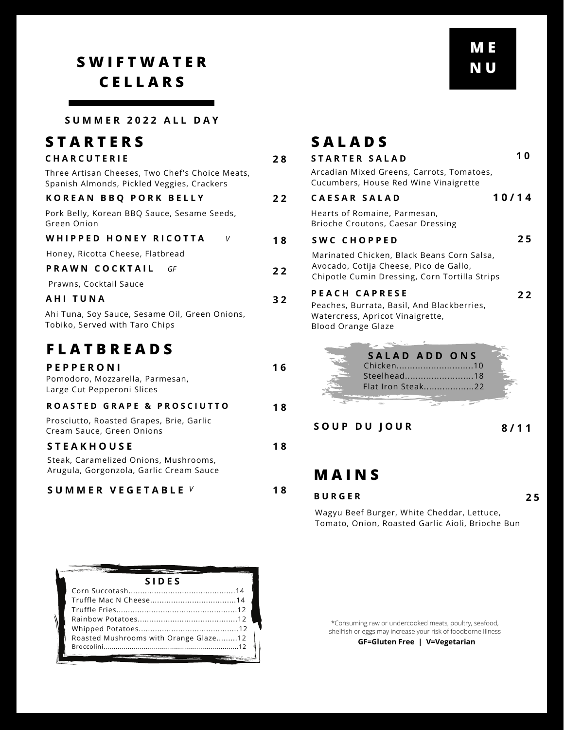## **S W I F T W A T E R C E L L A R S**

### **S T A R T E R S**

### **C H A R C U T E R I E**

| Three Artisan Cheeses, Two Chef's Choice Meats, |  |
|-------------------------------------------------|--|
| Spanish Almonds, Pickled Veggies, Crackers      |  |

### **K O R E A N B B Q P O R K B E L L Y**

#### **W H I P P E D H O N E Y R I C O T T A**

#### **P R A W N C O C K T A I L** *GF*

## **F L A T B R E A D S**

| <b>PEPPERONI</b><br>Pomodoro, Mozzarella, Parmesan,<br>Large Cut Pepperoni Slices |
|-----------------------------------------------------------------------------------|
| ROASTED GRAPE & PROSCIUTTO                                                        |
| Prosciutto, Roasted Grapes, Brie, Garlic<br>Cream Sauce, Green Onions             |
| <b>STEAKHOUSE</b>                                                                 |
| Steak, Caramelized Onions, Mushrooms,<br>Arugula, Gorgonzola, Garlic Cream Sauce  |

### **S U M M E R V E G E T A B L E** *V* **1 8**

| V |  |
|---|--|
|   |  |

| U IVI IVI L IX   Z U Z Z   A L L                                                              |    |                                                                                         |       |
|-----------------------------------------------------------------------------------------------|----|-----------------------------------------------------------------------------------------|-------|
| STARTERS                                                                                      |    | <b>SALADS</b>                                                                           |       |
| CHARCUTERIE                                                                                   | 28 | <b>STARTER SALAD</b>                                                                    | 10    |
| Three Artisan Cheeses, Two Chef's Choice Meats,<br>Spanish Almonds, Pickled Veggies, Crackers |    | Arcadian Mixed Greens, Carrots, Tomatoes,<br>Cucumbers, House Red Wine Vinaigrette      |       |
| KOREAN BBQ PORK BELLY                                                                         | 22 | <b>CAESAR SALAD</b>                                                                     | 10/14 |
| Pork Belly, Korean BBQ Sauce, Sesame Seeds,<br>Green Onion                                    |    | Hearts of Romaine, Parmesan,<br>Brioche Croutons, Caesar Dressing                       |       |
| WHIPPED HONEY RICOTTA<br>V                                                                    | 18 | SWC CHOPPED                                                                             | 25    |
| Honey, Ricotta Cheese, Flatbread                                                              |    | Marinated Chicken, Black Beans Corn Salsa,                                              |       |
| PRAWN COCKTAIL<br>GF                                                                          | 22 | Avocado, Cotija Cheese, Pico de Gallo,<br>Chipotle Cumin Dressing, Corn Tortilla Strips |       |
| Prawns, Cocktail Sauce                                                                        |    |                                                                                         |       |
| AHI TUNA                                                                                      | 32 | <b>PEACH CAPRESE</b><br>Peaches, Burrata, Basil, And Blackberries,                      | 22    |
| Ahi Tuna, Soy Sauce, Sesame Oil, Green Onions,<br>Tobiko, Served with Taro Chips              |    | Watercress, Apricot Vinaigrette,<br><b>Blood Orange Glaze</b>                           |       |
| <b>FLATBREADS</b>                                                                             |    | SALAD ADD ONS                                                                           |       |
| <b>PEPPERONI</b>                                                                              | 16 | Chicken10                                                                               |       |
| Pomodoro, Mozzarella, Parmesan,<br>Large Cut Pepperoni Slices                                 |    | Steelhead18<br>Flat Iron Steak22                                                        |       |
| <b>ROASTED GRAPE &amp; PROSCIUTTO</b>                                                         | 18 |                                                                                         |       |
| Prosciutto, Roasted Grapes, Brie, Garlic<br>Cream Sauce, Green Onions                         |    | SOUP DU JOUR                                                                            | 8/11  |
| <b>STEAKHOUSE</b>                                                                             | 18 |                                                                                         |       |
| Steak, Caramelized Onions, Mushrooms,                                                         |    |                                                                                         |       |
| Arugula, Gorgonzola, Garlic Cream Sauce                                                       |    | <b>MAINS</b>                                                                            |       |
|                                                                                               |    |                                                                                         |       |

#### **B U R G E R**

**2 5**

Wagyu Beef Burger, White Cheddar, Lettuce, Tomato, Onion, Roasted Garlic Aioli, Brioche Bun

| <b>SIDES</b>                          |  |  |
|---------------------------------------|--|--|
|                                       |  |  |
|                                       |  |  |
|                                       |  |  |
|                                       |  |  |
|                                       |  |  |
| Roasted Mushrooms with Orange Glaze12 |  |  |
|                                       |  |  |
|                                       |  |  |

\*Consuming raw or undercooked meats, poultry, seafood, shellfish or eggs may increase your risk of foodborne Illness

**GF=Gluten Free | V=Vegetarian**